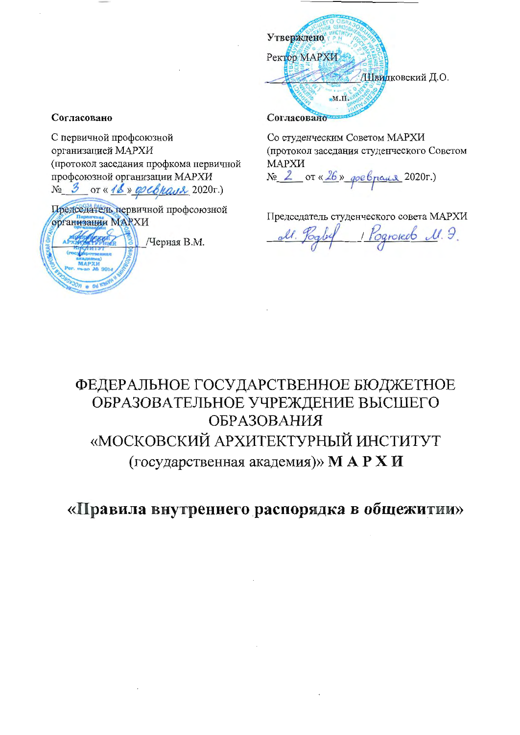

Со студенческим Советом МАРХИ (протокол заседания студенческого Советом МАРХИ No 2 or «26» goebpaux 2020r.)

Председатель студенческого совета МАРХИ

Rogrouds M.J.

# ФЕДЕРАЛЬНОЕ ГОСУДАРСТВЕННОЕ БЮДЖЕТНОЕ ОБРАЗОВАТЕЛЬНОЕ УЧРЕЖДЕНИЕ ВЫСШЕГО **ОБРАЗОВАНИЯ** «МОСКОВСКИЙ АРХИТЕКТУРНЫЙ ИНСТИТУТ (государственная академия)» МАРХИ

«Правила внутреннего распорядка в общежитии»

## Согласовано

С первичной профсоюзной организацией МАРХИ (протокол заседания профкома первичной профсоюзной организации МАРХИ  $N_2$  3 or « 16 » go cohaus 2020 r.)

Председатель первичной профсоюзной **организации MAPXИ** 

Черная В.М.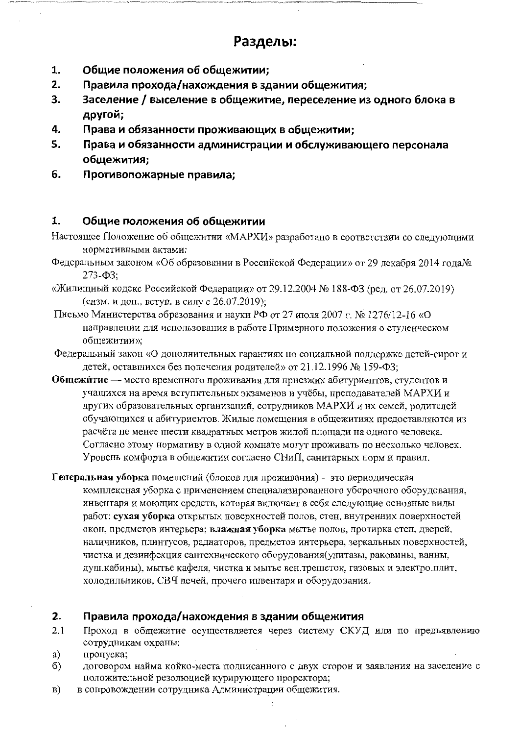# Разделы:

- 1. Общие положения об общежитии;
- $2.$ Правила прохода/нахождения в здании общежития;
- Заселение / выселение в общежитие, переселение из одного блока в 3. другой;
- 4. Права и обязанности проживающих в общежитии;
- 5. Права и обязанности администрации и обслуживающего персонала общежития;
- 6. Противопожарные правила;

#### 1. Общие положения об общежитии

- Настоящее Положение об общежитии «МАРХИ» разработано в соответствии со следующими нормативными актами:
- Федеральным законом «Об образовании в Российской Федерации» от 29 декабря 2014 года№  $273 - 03$ :
- «Жилищный кодекс Российской Федерации» от 29.12.2004 № 188-ФЗ (ред. от 26.07.2019) (сизм. и доп., вступ. в силу с 26.07.2019);
- Письмо Министерства образования и науки РФ от 27 июля 2007 г. № 1276/12-16 «О направлении для использования в работе Примерного положения о студенческом общежитии»;
- Федеральный закон «О дополнительных гарантиях по социальной поддержке детей-сирот и детей, оставшихся без попечения родителей» от 21.12.1996 № 159-ФЗ;
- Общежитие место временного проживания для приезжих абитуриентов, студентов и учащихся на время вступительных экзаменов и учёбы, преподавателей МАРХИ и других образовательных организаций, сотрудников МАРХИ и их семей, родителей обучающихся и абитуриентов. Жилые помещения в общежитиях предоставляются из расчёта не менее шести квадратных метров жилой площади на одного человека. Согласно этому нормативу в одной комнате могут проживать по несколько человек. Уровень комфорта в общежитии согласно СНиП, санитарных норм и правил.
- Генеральная уборка помещений (блоков для проживания) это периодическая комплексная уборка с применением специализированного уборочного оборудования, инвентаря и моющих средств, которая включает в себя следующие основные виды работ: сухая уборка открытых поверхностей полов, стен, внутренних поверхностей окон, предметов интерьера; влажная уборка мытье полов, протирка стен, дверей, наличников, плинтусов, радиаторов, предметов интерьера, зеркальных поверхностей, чистка и дезинфекция сантехнического оборудования(унитазы, раковины, ванны, душ.кабины), мытье кафеля, чистка и мытье вен.трешеток, газовых и электро.плит, холодильников, СВЧ печей, прочего инвентаря и оборудования.

#### $2.$ Правила прохода/нахождения в здании общежития

- $2.1$ Проход в общежитие осуществляется через систему СКУД или по предъявлению сотрудникам охраны:
- a) пропуска
- $\delta$ договором найма койко-места подписанного с двух сторон и заявления на заселение с положительной резолюцией курирующего проректора;
- $\vert \mathbf{B} \vert$ в сопровождении сотрудника Администрации общежития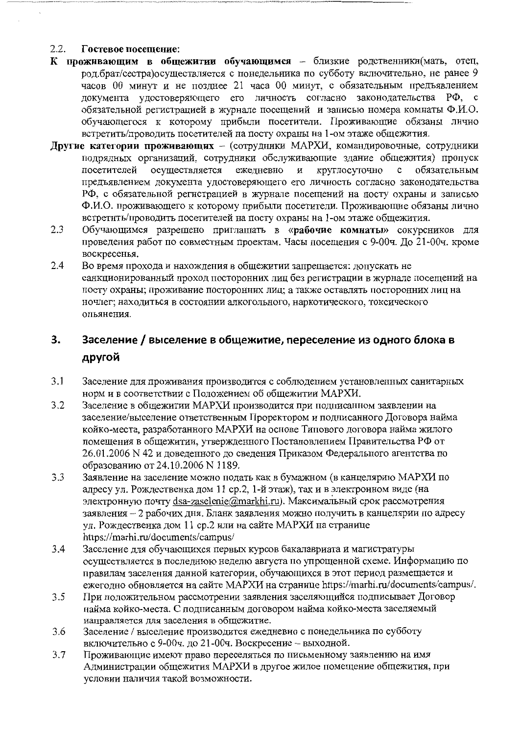#### $2.2.$ Гостевое посещение:

- К проживающим в общежитии обучающимся близкие родственники(мать, отец, род. брат/сестра) осуществляется с понедельника по субботу включительно, не ранее 9 часов 00 минут и не позднее 21 часа 00 минут, с обязательным предъявлением документа удостоверяющего его личность согласно законодательства РФ, с обязательной регистрацией в журнале посещений и записью номера комнаты Ф.И.О. обучающегося к которому прибыли посетители. Проживающие обязаны лично встретить/проводить посетителей на посту охраны на 1-ом этаже общежития.
- Другие категории проживающих (сотрудники МАРХИ, командировочные, сотрудники подрядных организаций, сотрудники обслуживающие здание общежития) пропуск осуществляется ежедневно и круглосуточно посетителей с обязательным предъявлением документа удостоверяющего его личность согласно законодательства РФ, с обязательной регистрацией в журнале посещений на посту охраны и записью Ф.И.О. проживающего к которому прибыли посетители. Проживающие обязаны лично встретить/проводить посетителей на посту охраны на 1-ом этаже общежития.
- $2.3$ Обучающимся разрешено приглашать в «рабочие комнаты» сокурсников для проведения работ по совместным проектам. Часы посещения с 9-00ч. До 21-00ч. кроме воскресенья.
- 2.4 Во время прохода и нахождения в общежитии запрещается: допускать не санкционированный проход посторонних лиц без регистрации в журнале посещений на посту охраны; проживание посторонних лиц; а также оставлять посторонних лиц на ночлег; находиться в состоянии алкогольного, наркотического, токсического опьянения.

## 3. Заселение / выселение в общежитие, переселение из одного блока в другой

- $3,1$ Заселение для проживания производится с соблюдением установленных санитарных норм и в соответствии с Положением об общежитии МАРХИ.
- $3.2$ Заселение в общежитии МАРХИ производится при подписанном заявлении на заселение/выселение ответственным Проректором и подписанного Договора найма койко-места, разработанного МАРХИ на основе Типового договора найма жилого помещения в общежитии, утвержденного Постановлением Правительства РФ от 26.01.2006 N 42 и доведенного до сведения Приказом Федерального агентства по образованию от 24.10.2006 N 1189.
- $3.3$ Заявление на заселение можно подать как в бумажном (в канцелярию МАРХИ по адресу ул. Рождественка дом 11 ср.2, 1-й этаж), так и в электронном виде (на электронную почту dsa-zaselenie@markhi.ru). Максимальный срок рассмотрения заявления - 2 рабочих дня. Бланк заявления можно получить в канцелярии по адресу ул. Рождественка дом 11 ср.2 или на сайте МАРХИ на странице https://marhi.ru/documents/campus/
- $3.4$ Заселение для обучающихся первых курсов бакалавриата и магистратуры осуществляется в последнюю неделю августа по упрощенной схеме. Информацию по правилам заселения данной категории, обучающихся в этот период размещается и ежегодно обновляется на сайте МАРХИ на странице https://marhi.ru/documents/campus/.
- $3.5$ При положительном рассмотрении заявления заселяющийся подписывает Договор найма койко-места. С подписанным договором найма койко-места заселяемый направляется для заселения в общежитие.
- 3.6 Заселение / выселение производится ежедневно с понедельника по субботу включительно с 9-00ч. до 21-00ч. Воскресение - выходной.
- Проживающие имеют право переселяться по письменному заявлению на имя  $3.7$ Администрации общежития МАРХИ в другое жилое помещение общежития, при условии наличия такой возможности.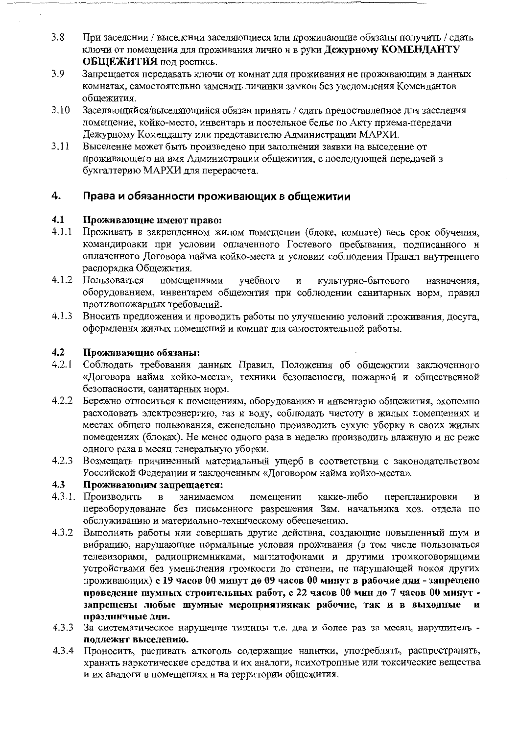- $3.8$ При заселении / выселении заселяющиеся или проживающие обязаны получить / сдать ключи от помещения для проживания лично и в руки Дежурному КОМЕНДАНТУ ОБЩЕЖИТИЯ под роспись.
- 3.9 Запрещается передавать ключи от комнат для проживания не проживающим в данных комнатах, самостоятельно заменять личинки замков без уведомления Комендантов общежития.
- $3.10$ Заселяющийся/выселяющийся обязан принять / сдать предоставленное для заселения помещение, койко-место, инвентарь и постельное белье по Акту приема-передачи Дежурному Коменданту или представителю Администрации МАРХИ.
- $3.11$ Выселение может быть произведено при заполнении заявки на выселение от проживающего на имя Администрации общежития, с последующей передачей в бухгалтерию МАРХИ для перерасчета.

#### 4. Права и обязанности проживающих в общежитии

#### $4.1$ Проживающие имеют право:

- $4.1.1$ Проживать в закрепленном жилом помещении (блоке, комнате) весь срок обучения, командировки при условии оплаченного Гостевого пребывания, подписанного и оплаченного Договора найма койко-места и условии соблюдения Правил внутреннего распорядка Общежития.
- 4.1.2 Пользоваться учебного помещениями культурно-бытового И назначения, оборудованием, инвентарем общежития при соблюдении санитарных норм, правил противопожарных требований.
- $4.1.3$ Вносить предложения и проводить работы по улучшению условий проживания, досуга, оформления жилых помещений и комнат для самостоятельной работы.

#### 4.2 Проживающие обязаны:

- $4.2.1$ Соблюдать требования данных Правил, Положения об общежитии заключенного «Договора найма койко-места», техники безопасности, пожарной и общественной безопасности, санитарных норм.
- 4.2.2 Бережно относиться к помещениям, оборудованию и инвентарю общежития, экономно расходовать электроэнергию, газ и воду, соблюдать чистоту в жилых помещениях и местах общего пользования, еженедельно производить сухую уборку в своих жилых помещениях (блоках). Не менее одного раза в неделю производить влажную и не реже одного раза в месяц генеральную уборки.
- $4.2.3$ Возмещать причиненный материальный ущерб в соответствии с законодательством Российской Федерации и заключенным «Договором найма койко-места».

#### $4.3$ Проживающим запрещается:

- 4.3.1. Производить помещении какие-либо  $\mathbf{B}$ занимаемом перепланировки И переоборудование без письменного разрешения Зам. начальника хоз. отдела по обслуживанию и материально-техническому обеспечению.
- $4.3.2$ Выполнять работы или совершать другие действия, создающие повышенный шум и вибрацию, нарушающие нормальные условия проживания (в том числе пользоваться телевизорами, радиоприемниками, магнитофонами и другими громкоговорящими устройствами без уменьшения громкости до степени, не нарушающей покоя других проживающих) с 19 часов 00 минут до 09 часов 00 минут в рабочие дни - запрещено проведение шумных строительных работ, с 22 часов 00 мин до 7 часов 00 минут запрещены любые шумные мероприятиякак рабочие, так и в выходные  $\mathbf{H}$ праздничные дни.
- 4.3.3 За систематическое нарушение тишины т.е. два и более раз за месяц, нарушитель подлежит выселению.
- 4.3.4 Проносить, распивать алкоголь содержащие напитки, употреблять, распространять, хранить наркотические средства и их аналоги, психотропные или токсические вещества и их аналоги в помещениях и на территории общежития.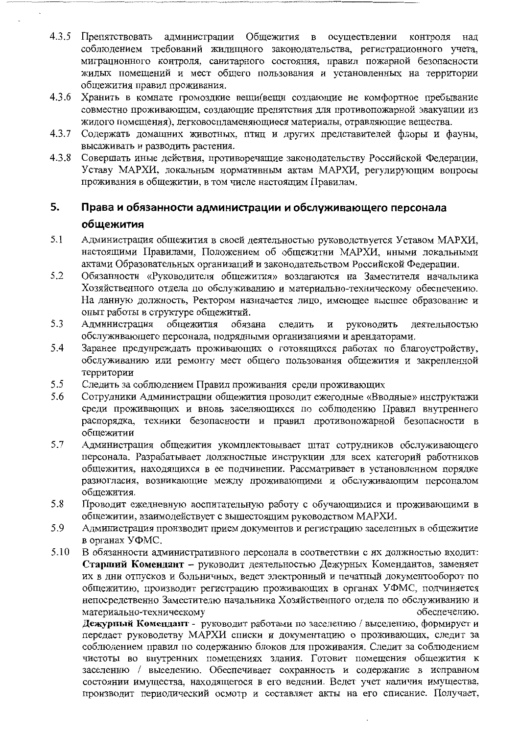- 4.3.5 Препятствовать администрации Общежития в осуществлении контроля нал соблюдением требований жилищного законодательства, регистрационного учета, миграционного контроля, санитарного состояния, правил пожарной безопасности жилых помещений и мест общего пользования и установленных на территории общежития правил проживания.
- 4.3.6 Хранить в комнате громоздкие вещи(вещи создающие не комфортное пребывание совместно проживающим, создающие препятствия для противопожарной эвакуации из жилого помещения), легковоспламеняющиеся материалы, отравляющие вещества.
- $4.3.7$ Содержать домашних животных, птиц и других представителей флоры и фауны, высаживать и разводить растения.
- 4.3.8 Совершать иные действия, противоречащие законодательству Российской Федерации, Уставу МАРХИ, локальным нормативным актам МАРХИ, регулирующим вопросы проживания в общежитии, в том числе настоящим Правилам.

### 5. Права и обязанности администрации и обслуживающего персонала общежития

- 5.1 Администрация общежития в своей деятельностью руководствуется Уставом МАРХИ, настоящими Правилами, Положением об общежитии МАРХИ, иными локальными актами Образовательных организаций и законодательством Российской Федерации.
- 5.2 Обязанности «Руководителя общежития» возлагаются на Заместителя начальника Хозяйственного отдела по обслуживанию и материально-техническому обеспечению. На данную должность, Ректором назначается лицо, имеющее высшее образование и опыт работы в структуре общежитий.
- 5.3 Администрация общежития обязана следить  $\, {\bf N}$ руководить деятельностью обслуживающего персонала, подрядными организациями и арендаторами.
- 5.4 Заранее предупреждать проживающих о готовящихся работах по благоустройству, обслуживанию или ремонту мест общего пользования общежития и закрепленной территории
- 5.5 Следить за соблюдением Правил проживания среди проживающих
- 5.6 Сотрудники Администрации общежития проводит ежегодные «Вводные» инструктажи среди проживающих и вновь заселяющихся по соблюдению Правил внутреннего распорядка, техники безопасности и правил противопожарной безопасности в общежитии
- 5.7 Администрация общежития укомплектовывает штат сотрудников обслуживающего персонала. Разрабатывает должностные инструкции для всех категорий работников общежития, находящихся в ее подчинении. Рассматривает в установленном порядке разногласия, возникающие между проживающими и обслуживающим персоналом общежития.
- 5.8 Проводит ежедневную воспитательную работу с обучающимися и проживающими в общежитии, взаимодействует с вышестоящим руководством МАРХИ.
- 5.9 Администрация производит прием документов и регистрацию заселенных в общежитие в органах УФМС.
- 5.10 В обязанности административного персонала в соответствии с их должностью входит: Старший Комендант - руководит деятельностью Дежурных Комендантов, заменяет их в дни отпусков и больничных, ведет электронный и печатный документооборот по общежитию, производит регистрацию проживающих в органах УФМС, подчиняется непосредственно Заместителю начальника Хозяйственного отдела по обслуживанию и материально-техническому обеспечению.

Дежурный Комендант - руководит работами по заселению / выселению, формирует и передает руководству МАРХИ списки и документацию о проживающих, следит за соблюдением правил по содержанию блоков для проживания. Следит за соблюдением чистоты во внутренних помещениях здания. Готовит помещения общежития к заселению / выселению. Обеспечивает сохранность и содержание в исправном состоянии имущества, находящегося в его ведении. Ведет учет наличия имущества, производит периодический осмотр и составляет акты на его списание. Получает,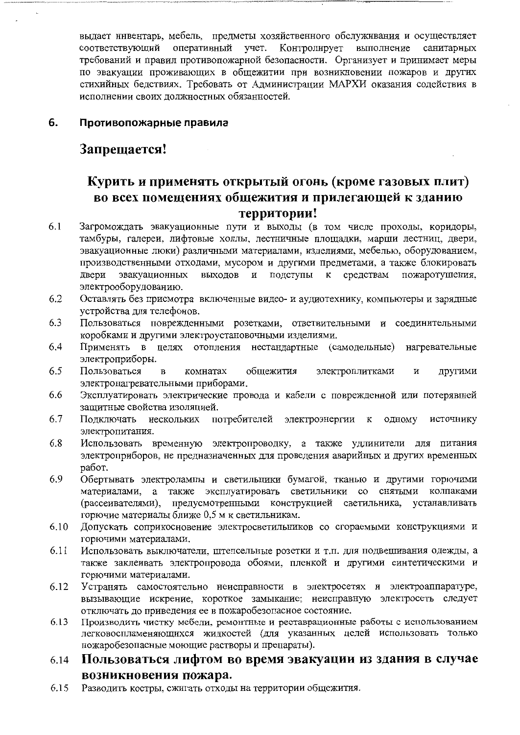выдает инвентарь, мебель, предметы хозяйственного обслуживания и осуществляет соответствующий оперативный учет. Контролирует выполнение санитарных требований и правил противопожарной безопасности. Организует и принимает меры по эвакуации проживающих в общежитии при возникновении пожаров и других стихийных бедствиях. Требовать от Администрации МАРХИ оказания содействия в исполнении своих лолжностных обязанностей.

#### 6. Противопожарные правила

## Запрещается!

## Курить и применять открытый огонь (кроме газовых плит) во всех помещениях общежития и прилегающей к зданию территории!

- 6.1 Загромождать эвакуационные пути и выходы (в том числе проходы, коридоры, тамбуры, галереи, лифтовые холлы, лестничные площадки, марши лестниц, двери, эвакуационные люки) различными материалами, изделиями, мебелью, оборудованием, производственными отходами, мусором и другими предметами, а также блокировать двери эвакуационных выходов и подступы к средствам пожаротушения. электрооборудованию.
- 6.2 Оставлять без присмотра включенные видео- и аудиотехнику, компьютеры и зарядные устройства для телефонов.
- 6.3 Пользоваться поврежденными розетками, ответвительными и соединительными коробками и другими электроустановочными изделиями.
- 6.4 Применять в целях отопления нестандартные (самодельные) нагревательные электроприборы.
- 6.5 Пользоваться общежития электроплитками  $\, {\bf B}$ комнатах  $\overline{\mathbf{M}}$ другими электронагревательными приборами.
- 6.6 Эксплуатировать электрические провода и кабели с поврежденной или потерявшей защитные свойства изоляцией.
- 6.7 Подключать нескольких потребителей электроэнергии  $\bf K$ одному источнику электропитания.
- 6.8 Использовать временную электропроводку, а также удлинители для питания электроприборов, не предназначенных для проведения аварийных и других временных работ.
- 6.9 Обертывать электролампы и светильники бумагой, тканью и другими горючими материалами, а также эксплуатировать светильники со снятыми колпаками (рассеивателями), предусмотренными конструкцией светильника, устанавливать горючие материалы ближе 0.5 м к светильникам.
- 6.10 Допускать соприкосновение электросветильников со сгораемыми конструкциями и горючими материалами.
- 6.11 Использовать выключатели, штепсельные розетки и т.п. для подвешивания одежды, а также заклеивать электропровода обоями, пленкой и другими синтетическими и горючими материалами.
- 6.12 Устранять самостоятельно неисправности в электросетях и электроаппаратуре, вызывающие искрение, короткое замыкание; неисправную электросеть следует отключать до приведения ее в пожаробезопасное состояние.
- Производить чистку мебели, ремонтные и реставрационные работы с использованием 6.13 легковоспламеняющихся жидкостей (для указанных целей использовать только пожаробезопасные моющие растворы и препараты).

### Пользоваться лифтом во время эвакуации из здания в случае 6.14 возникновения пожара.

6.15 Разводить костры, сжигать отходы на территории общежития.